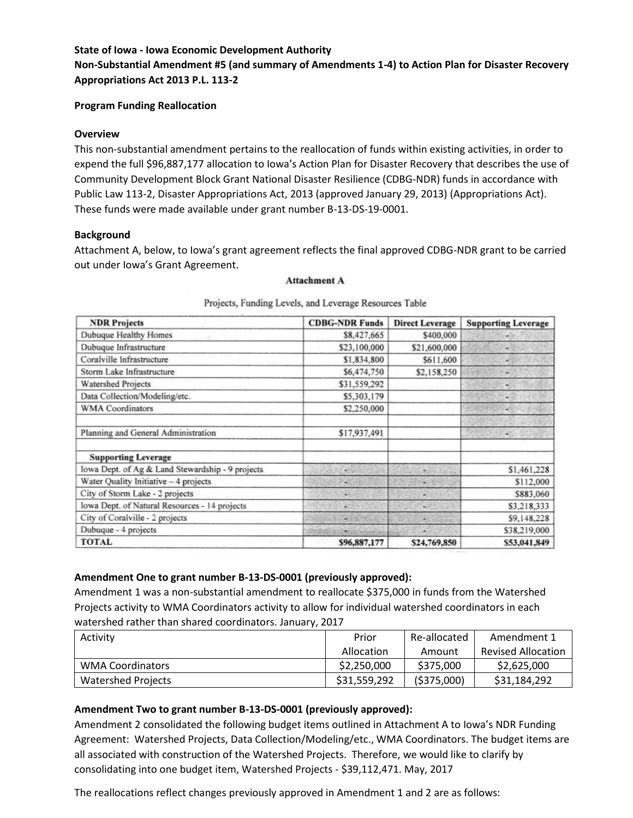#### **State of Iowa - Iowa Economic Development Authority**

# **Non-Substantial Amendment #5 (and summary of Amendments 1-4) to Action Plan for Disaster Recovery Appropriations Act 2013 P.L. 113-2**

#### **Program Funding Reallocation**

#### **Overview**

This non-substantial amendment pertains to the reallocation of funds within existing activities, in order to expend the full \$96,887,177 allocation to Iowa's Action Plan for Disaster Recovery that describes the use of Community Development Block Grant National Disaster Resilience (CDBG-NDR) funds in accordance with Public Law 113-2, Disaster Appropriations Act, 2013 (approved January 29, 2013) (Appropriations Act). These funds were made available under grant number B-13-DS-19-0001.

### **Background**

Attachment A, below, to Iowa's grant agreement reflects the final approved CDBG-NDR grant to be carried out under Iowa's Grant Agreement.

#### **Attachment A**

| <b>NDR Projects</b>                              | <b>CDBG-NDR Funds</b>    | <b>Direct Leverage</b> | <b>Supporting Leverage</b> |  |
|--------------------------------------------------|--------------------------|------------------------|----------------------------|--|
| <b>Dubuque Healthy Homes</b>                     | \$8,427,665              | \$400,000              |                            |  |
| Dubuque Infrastructure                           | \$23,100,000             | \$21,600,000           |                            |  |
| Coralville Infrastructure                        | \$1,834,800              | \$611,600              | W.                         |  |
| Storm Lake Infrastructure                        | \$6,474,750              | \$2,158,250            |                            |  |
| <b>Watershed Projects</b>                        | \$31,559,292             |                        | ÷                          |  |
| Data Collection/Modeling/etc.                    | \$5,303,179              |                        | ÷                          |  |
| <b>WMA</b> Coordinators                          | \$2,250,000              |                        | u                          |  |
| Planning and General Administration              | \$17,937,491             |                        |                            |  |
| <b>Supporting Leverage</b>                       |                          |                        |                            |  |
| lowa Dept. of Ag & Land Stewardship - 9 projects |                          |                        | \$1,461,228                |  |
| Water Quality Initiative - 4 projects            |                          | ×                      | \$112,000                  |  |
| City of Storm Lake - 2 projects                  | ÷                        | w                      | \$883,060                  |  |
| Iowa Dept. of Natural Resources - 14 projects    | ¥                        | $\sim$                 | \$3,218,333                |  |
| City of Coralville - 2 projects                  | $\overline{\phantom{a}}$ | ×                      | \$9,148,228                |  |
| Dubuque - 4 projects                             |                          |                        | \$38,219,000               |  |
| <b>TOTAL</b>                                     | \$96,887,177             | \$24,769,850           | \$53,041,849               |  |

#### Projects, Funding Levels, and Leverage Resources Table

### **Amendment One to grant number B-13-DS-0001 (previously approved):**

Amendment 1 was a non-substantial amendment to reallocate \$375,000 in funds from the Watershed Projects activity to WMA Coordinators activity to allow for individual watershed coordinators in each watershed rather than shared coordinators. January, 2017

| Activity                | Prior        | Re-allocated | Amendment 1               |  |
|-------------------------|--------------|--------------|---------------------------|--|
|                         | Allocation   | Amount       | <b>Revised Allocation</b> |  |
| <b>WMA Coordinators</b> | \$2,250,000  | \$375,000    | \$2,625,000               |  |
| Watershed Projects      | \$31,559,292 | ( \$375,000) | \$31,184,292              |  |

### **Amendment Two to grant number B-13-DS-0001 (previously approved):**

Amendment 2 consolidated the following budget items outlined in Attachment A to Iowa's NDR Funding Agreement: Watershed Projects, Data Collection/Modeling/etc., WMA Coordinators. The budget items are all associated with construction of the Watershed Projects. Therefore, we would like to clarify by consolidating into one budget item, Watershed Projects - \$39,112,471. May, 2017

The reallocations reflect changes previously approved in Amendment 1 and 2 are as follows: